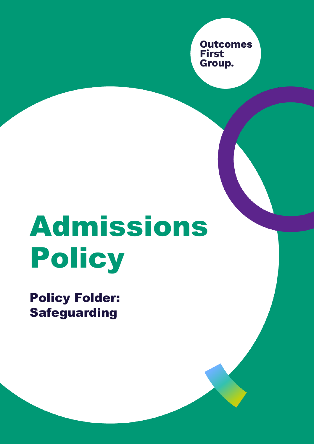**Outcomes First** Group.

# Admissions Policy

Policy Folder: **Safeguarding**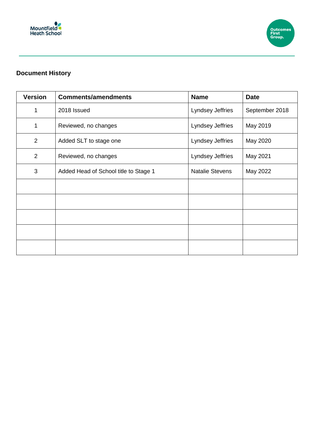



### **Document History**

| <b>Version</b> | <b>Comments/amendments</b>            | <b>Name</b>            | <b>Date</b>    |
|----------------|---------------------------------------|------------------------|----------------|
| 1              | 2018 Issued                           | Lyndsey Jeffries       | September 2018 |
| 1              | Reviewed, no changes                  | Lyndsey Jeffries       | May 2019       |
| 2              | Added SLT to stage one                | Lyndsey Jeffries       | May 2020       |
| $\overline{2}$ | Reviewed, no changes                  | Lyndsey Jeffries       | May 2021       |
| 3              | Added Head of School title to Stage 1 | <b>Natalie Stevens</b> | May 2022       |
|                |                                       |                        |                |
|                |                                       |                        |                |
|                |                                       |                        |                |
|                |                                       |                        |                |
|                |                                       |                        |                |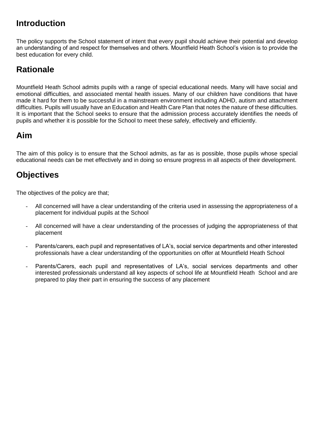## **Introduction**

The policy supports the School statement of intent that every pupil should achieve their potential and develop an understanding of and respect for themselves and others. Mountfield Heath School's vision is to provide the best education for every child.

## **Rationale**

Mountfield Heath School admits pupils with a range of special educational needs. Many will have social and emotional difficulties, and associated mental health issues. Many of our children have conditions that have made it hard for them to be successful in a mainstream environment including ADHD, autism and attachment difficulties. Pupils will usually have an Education and Health Care Plan that notes the nature of these difficulties. It is important that the School seeks to ensure that the admission process accurately identifies the needs of pupils and whether it is possible for the School to meet these safely, effectively and efficiently.

## **Aim**

The aim of this policy is to ensure that the School admits, as far as is possible, those pupils whose special educational needs can be met effectively and in doing so ensure progress in all aspects of their development.

## **Objectives**

The objectives of the policy are that;

- All concerned will have a clear understanding of the criteria used in assessing the appropriateness of a placement for individual pupils at the School
- All concerned will have a clear understanding of the processes of judging the appropriateness of that placement
- Parents/carers, each pupil and representatives of LA's, social service departments and other interested professionals have a clear understanding of the opportunities on offer at Mountfield Heath School
- Parents/Carers, each pupil and representatives of LA's, social services departments and other interested professionals understand all key aspects of school life at Mountfield Heath School and are prepared to play their part in ensuring the success of any placement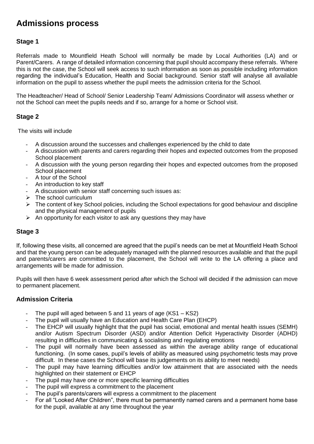## **Admissions process**

#### **Stage 1**

Referrals made to Mountfield Heath School will normally be made by Local Authorities (LA) and or Parent/Carers. A range of detailed information concerning that pupil should accompany these referrals. Where this is not the case, the School will seek access to such information as soon as possible including information regarding the individual's Education, Health and Social background. Senior staff will analyse all available information on the pupil to assess whether the pupil meets the admission criteria for the School.

The Headteacher/ Head of School/ Senior Leadership Team/ Admissions Coordinator will assess whether or not the School can meet the pupils needs and if so, arrange for a home or School visit.

#### **Stage 2**

The visits will include

- A discussion around the successes and challenges experienced by the child to date
- A discussion with parents and carers regarding their hopes and expected outcomes from the proposed School placement
- A discussion with the young person regarding their hopes and expected outcomes from the proposed School placement
- A tour of the School
- An introduction to key staff
- A discussion with senior staff concerning such issues as:
- $\triangleright$  The school curriculum
- $\triangleright$  The content of key School policies, including the School expectations for good behaviour and discipline and the physical management of pupils
- $\triangleright$  An opportunity for each visitor to ask any questions they may have

#### **Stage 3**

If, following these visits, all concerned are agreed that the pupil's needs can be met at Mountfield Heath School and that the young person can be adequately managed with the planned resources available and that the pupil and parents/carers are committed to the placement, the School will write to the LA offering a place and arrangements will be made for admission.

Pupils will then have 6 week assessment period after which the School will decided if the admission can move to permanent placement.

#### **Admission Criteria**

- The pupil will aged between 5 and 11 years of age  $(KS1 KS2)$
- The pupil will usually have an Education and Health Care Plan (EHCP)
- The EHCP will usually highlight that the pupil has social, emotional and mental health issues (SEMH) and/or Autism Spectrum Disorder (ASD) and/or Attention Deficit Hyperactivity Disorder (ADHD) resulting in difficulties in communicating & socialising and regulating emotions
- The pupil will normally have been assessed as within the average ability range of educational functioning. (In some cases, pupil's levels of ability as measured using psychometric tests may prove difficult. In these cases the School will base its judgements on its ability to meet needs)
- The pupil may have learning difficulties and/or low attainment that are associated with the needs highlighted on their statement or EHCP
- The pupil may have one or more specific learning difficulties
- The pupil will express a commitment to the placement
- The pupil's parents/carers will express a commitment to the placement
- For all "Looked After Children", there must be permanently named carers and a permanent home base for the pupil, available at any time throughout the year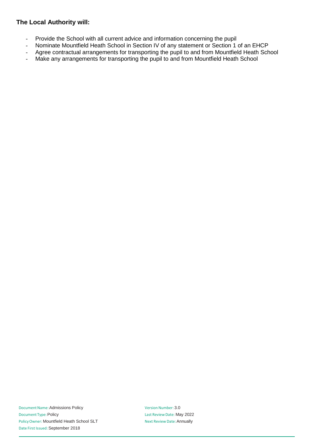#### **The Local Authority will:**

- Provide the School with all current advice and information concerning the pupil
- Nominate Mountfield Heath School in Section IV of any statement or Section 1 of an EHCP
- Agree contractual arrangements for transporting the pupil to and from Mountfield Heath School
- Make any arrangements for transporting the pupil to and from Mountfield Heath School

Version Number: 3.0 Last Review Date: May 2022 Next Review Date:Annually